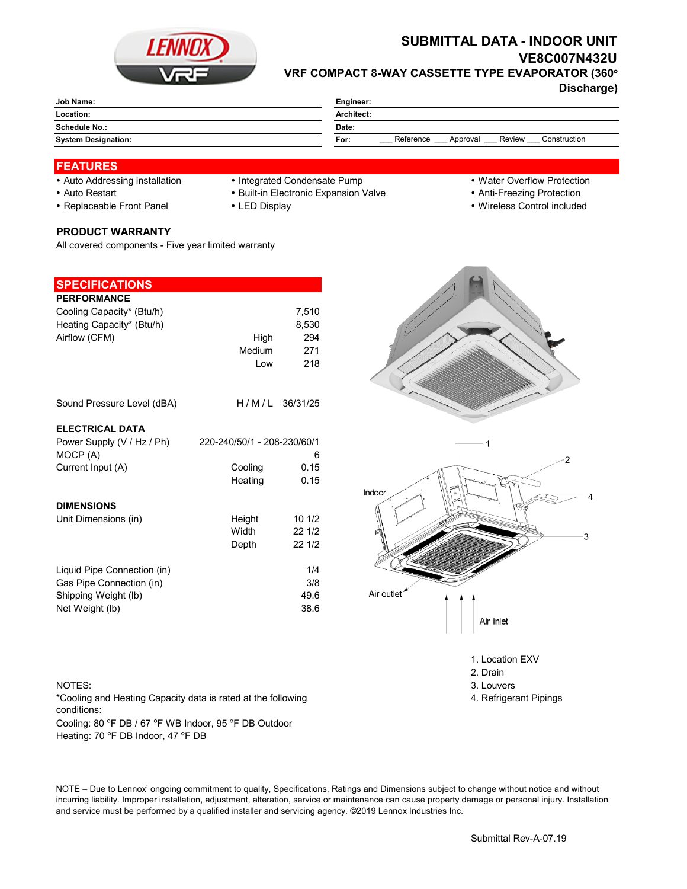

# **SUBMITTAL DATA - INDOOR UNIT VE8C007N432U VRF COMPACT 8-WAY CASSETTE TYPE EVAPORATOR (360°**

**Discharge)**

| Job Name:                  | Engineer:                                               |  |  |
|----------------------------|---------------------------------------------------------|--|--|
| Location:                  | Architect:                                              |  |  |
| Schedule No.:              | Date:                                                   |  |  |
| <b>System Designation:</b> | Reference<br>Review<br>Construction<br>For:<br>Approval |  |  |
|                            |                                                         |  |  |

## **FEATURES**

- Auto Addressing installation Integrated Condensate Pump Water Overflow Protection
	-
- Auto Restart **Built-in Electronic Expansion Valve Anti-Freezing Protection** Anti-Freezing Protection
- Replaceable Front Panel LED Display Wireless Control included

### **PRODUCT WARRANTY**

All covered components - Five year limited warranty

| <b>SPECIFICATIONS</b>       |                             |                  |
|-----------------------------|-----------------------------|------------------|
| <b>PERFORMANCE</b>          |                             |                  |
|                             |                             |                  |
| Cooling Capacity* (Btu/h)   |                             | 7,510            |
| Heating Capacity* (Btu/h)   |                             | 8,530            |
| Airflow (CFM)               | High                        | 294              |
|                             | Medium                      | 271              |
|                             | Low                         | 218              |
| Sound Pressure Level (dBA)  |                             | $H/M/L$ 36/31/25 |
|                             |                             |                  |
| <b>ELECTRICAL DATA</b>      |                             |                  |
| Power Supply (V / Hz / Ph)  | 220-240/50/1 - 208-230/60/1 |                  |
| MOCP (A)                    |                             | 6                |
| Current Input (A)           | Cooling                     | 0.15             |
|                             | Heating                     | 0.15             |
| <b>DIMENSIONS</b>           |                             |                  |
| Unit Dimensions (in)        | Height                      | 101/2            |
|                             | Width                       | 22 1/2           |
|                             | Depth                       | 22 1/2           |
|                             |                             |                  |
| Liquid Pipe Connection (in) |                             | 1/4              |
| Gas Pipe Connection (in)    |                             | 3/8              |
| Shipping Weight (lb)        |                             | 49.6             |
| Net Weight (lb)             |                             | 38.6             |
|                             |                             |                  |

#### NOTES: 3. Louvers 3. Louvers 3. Louvers 3. Louvers 3. Louvers 3. Louvers 3. Louvers 3. Louvers 3. Louvers 3. Louvers 3. Louvers 3. Louvers 3. Louvers 3. Louvers 3. Louvers 3. Louvers 3. Louvers 3. Louvers 3. Louvers 3. Lou

Cooling: 80 °F DB / 67 °F WB Indoor, 95 °F DB Outdoor Heating: 70 °F DB Indoor, 47 °F DB \*Cooling and Heating Capacity data is rated at the following conditions:



1. Location EXV

- 2. Drain
- 
- 4. Refrigerant Pipings

NOTE – Due to Lennox' ongoing commitment to quality, Specifications, Ratings and Dimensions subject to change without notice and without incurring liability. Improper installation, adjustment, alteration, service or maintenance can cause property damage or personal injury. Installation and service must be performed by a qualified installer and servicing agency. ©2019 Lennox Industries Inc.